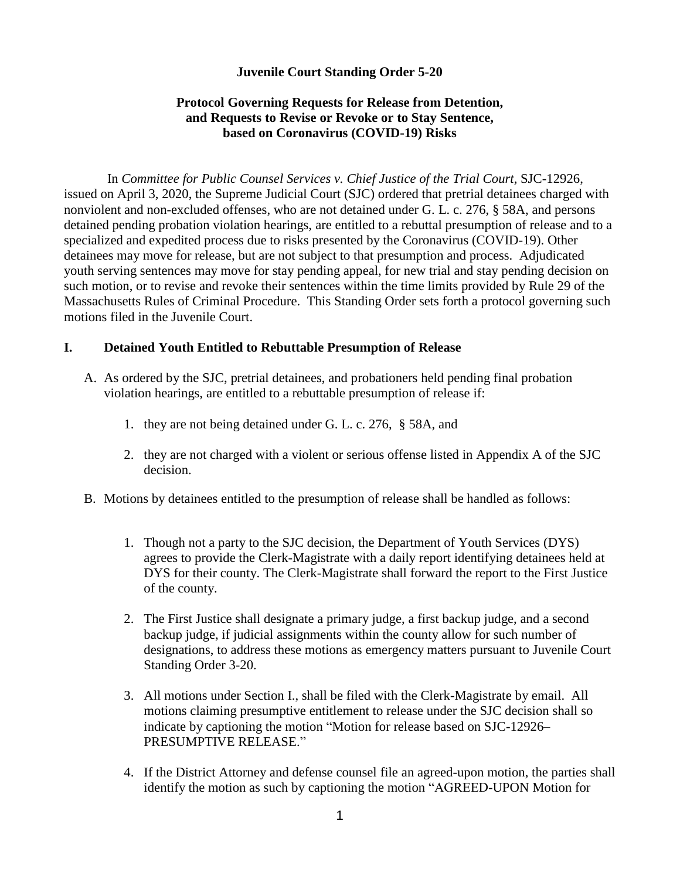## **Juvenile Court Standing Order 5-20**

## **Protocol Governing Requests for Release from Detention, and Requests to Revise or Revoke or to Stay Sentence, based on Coronavirus (COVID-19) Risks**

In *Committee for Public Counsel Services v. Chief Justice of the Trial Court,* SJC-12926, issued on April 3, 2020, the Supreme Judicial Court (SJC) ordered that pretrial detainees charged with nonviolent and non-excluded offenses, who are not detained under G. L. c. 276, § 58A, and persons detained pending probation violation hearings, are entitled to a rebuttal presumption of release and to a specialized and expedited process due to risks presented by the Coronavirus (COVID-19). Other detainees may move for release, but are not subject to that presumption and process. Adjudicated youth serving sentences may move for stay pending appeal, for new trial and stay pending decision on such motion, or to revise and revoke their sentences within the time limits provided by Rule 29 of the Massachusetts Rules of Criminal Procedure. This Standing Order sets forth a protocol governing such motions filed in the Juvenile Court.

## **I. Detained Youth Entitled to Rebuttable Presumption of Release**

- A. As ordered by the SJC, pretrial detainees, and probationers held pending final probation violation hearings, are entitled to a rebuttable presumption of release if:
	- 1. they are not being detained under G. L. c. 276, § 58A, and
	- 2. they are not charged with a violent or serious offense listed in Appendix A of the SJC decision.
- B. Motions by detainees entitled to the presumption of release shall be handled as follows:
	- 1. Though not a party to the SJC decision, the Department of Youth Services (DYS) agrees to provide the Clerk-Magistrate with a daily report identifying detainees held at DYS for their county. The Clerk-Magistrate shall forward the report to the First Justice of the county.
	- 2. The First Justice shall designate a primary judge, a first backup judge, and a second backup judge, if judicial assignments within the county allow for such number of designations, to address these motions as emergency matters pursuant to Juvenile Court Standing Order 3-20.
	- 3. All motions under Section I., shall be filed with the Clerk-Magistrate by email. All motions claiming presumptive entitlement to release under the SJC decision shall so indicate by captioning the motion "Motion for release based on SJC-12926– PRESUMPTIVE RELEASE."
	- 4. If the District Attorney and defense counsel file an agreed-upon motion, the parties shall identify the motion as such by captioning the motion "AGREED-UPON Motion for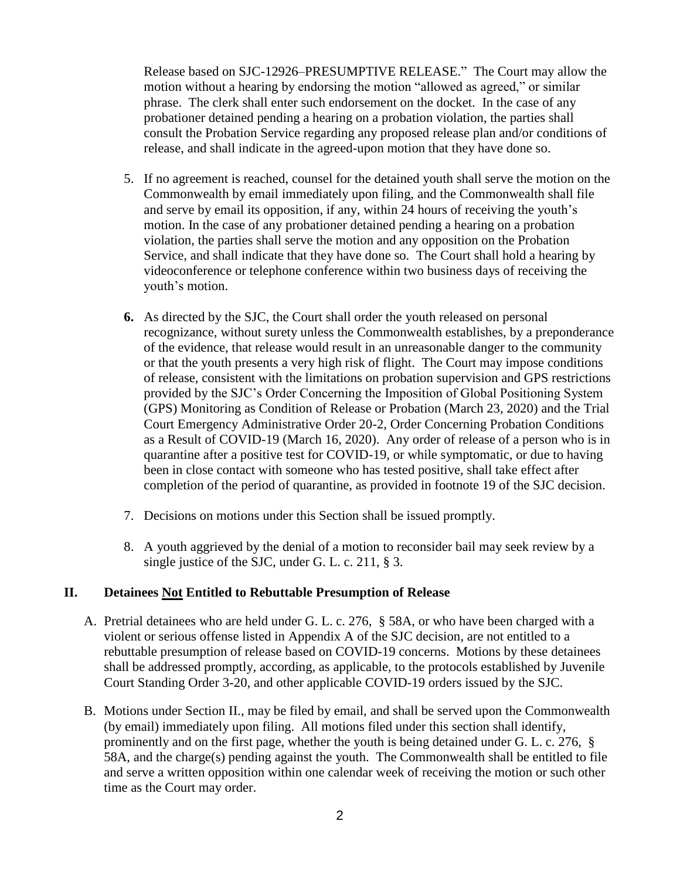Release based on SJC-12926–PRESUMPTIVE RELEASE." The Court may allow the motion without a hearing by endorsing the motion "allowed as agreed," or similar phrase. The clerk shall enter such endorsement on the docket. In the case of any probationer detained pending a hearing on a probation violation, the parties shall consult the Probation Service regarding any proposed release plan and/or conditions of release, and shall indicate in the agreed-upon motion that they have done so.

- 5. If no agreement is reached, counsel for the detained youth shall serve the motion on the Commonwealth by email immediately upon filing, and the Commonwealth shall file and serve by email its opposition, if any, within 24 hours of receiving the youth's motion. In the case of any probationer detained pending a hearing on a probation violation, the parties shall serve the motion and any opposition on the Probation Service, and shall indicate that they have done so. The Court shall hold a hearing by videoconference or telephone conference within two business days of receiving the youth's motion.
- **6.** As directed by the SJC, the Court shall order the youth released on personal recognizance, without surety unless the Commonwealth establishes, by a preponderance of the evidence, that release would result in an unreasonable danger to the community or that the youth presents a very high risk of flight. The Court may impose conditions of release, consistent with the limitations on probation supervision and GPS restrictions provided by the SJC's Order Concerning the Imposition of Global Positioning System (GPS) Monitoring as Condition of Release or Probation (March 23, 2020) and the Trial Court Emergency Administrative Order 20-2, Order Concerning Probation Conditions as a Result of COVID-19 (March 16, 2020). Any order of release of a person who is in quarantine after a positive test for COVID-19, or while symptomatic, or due to having been in close contact with someone who has tested positive, shall take effect after completion of the period of quarantine, as provided in footnote 19 of the SJC decision.
- 7. Decisions on motions under this Section shall be issued promptly.
- 8. A youth aggrieved by the denial of a motion to reconsider bail may seek review by a single justice of the SJC, under G. L. c. 211, § 3.

## **II. Detainees Not Entitled to Rebuttable Presumption of Release**

- A. Pretrial detainees who are held under G. L. c. 276, § 58A, or who have been charged with a violent or serious offense listed in Appendix A of the SJC decision, are not entitled to a rebuttable presumption of release based on COVID-19 concerns. Motions by these detainees shall be addressed promptly, according, as applicable, to the protocols established by Juvenile Court Standing Order 3-20, and other applicable COVID-19 orders issued by the SJC.
- B. Motions under Section II., may be filed by email, and shall be served upon the Commonwealth (by email) immediately upon filing. All motions filed under this section shall identify, prominently and on the first page, whether the youth is being detained under G. L. c. 276, § 58A, and the charge(s) pending against the youth. The Commonwealth shall be entitled to file and serve a written opposition within one calendar week of receiving the motion or such other time as the Court may order.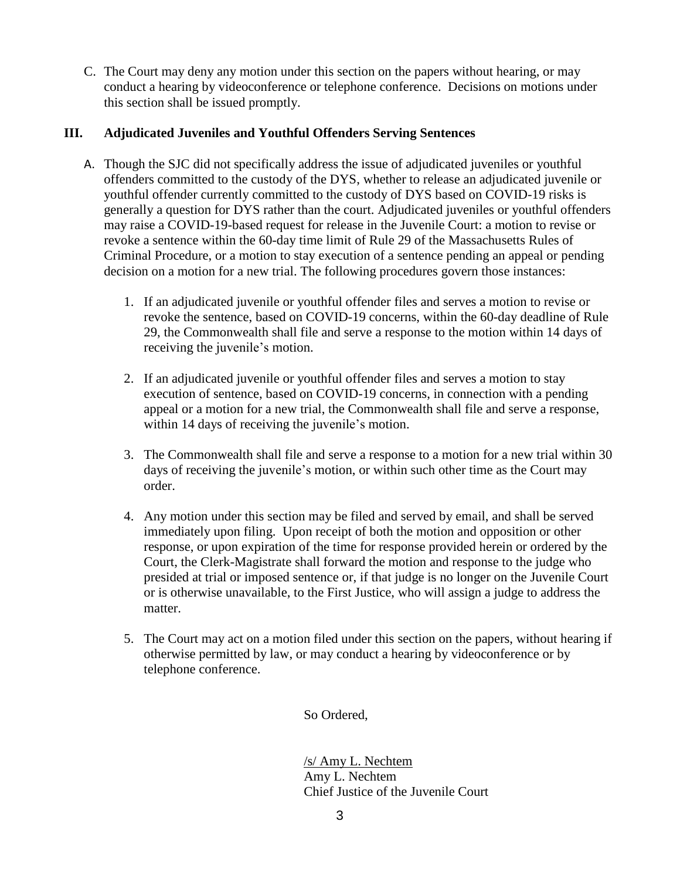C. The Court may deny any motion under this section on the papers without hearing, or may conduct a hearing by videoconference or telephone conference. Decisions on motions under this section shall be issued promptly.

# **III. Adjudicated Juveniles and Youthful Offenders Serving Sentences**

- A. Though the SJC did not specifically address the issue of adjudicated juveniles or youthful offenders committed to the custody of the DYS, whether to release an adjudicated juvenile or youthful offender currently committed to the custody of DYS based on COVID-19 risks is generally a question for DYS rather than the court. Adjudicated juveniles or youthful offenders may raise a COVID-19-based request for release in the Juvenile Court: a motion to revise or revoke a sentence within the 60-day time limit of Rule 29 of the Massachusetts Rules of Criminal Procedure, or a motion to stay execution of a sentence pending an appeal or pending decision on a motion for a new trial. The following procedures govern those instances:
	- 1. If an adjudicated juvenile or youthful offender files and serves a motion to revise or revoke the sentence, based on COVID-19 concerns, within the 60-day deadline of Rule 29, the Commonwealth shall file and serve a response to the motion within 14 days of receiving the juvenile's motion.
	- 2. If an adjudicated juvenile or youthful offender files and serves a motion to stay execution of sentence, based on COVID-19 concerns, in connection with a pending appeal or a motion for a new trial, the Commonwealth shall file and serve a response, within 14 days of receiving the juvenile's motion.
	- 3. The Commonwealth shall file and serve a response to a motion for a new trial within 30 days of receiving the juvenile's motion, or within such other time as the Court may order.
	- 4. Any motion under this section may be filed and served by email, and shall be served immediately upon filing. Upon receipt of both the motion and opposition or other response, or upon expiration of the time for response provided herein or ordered by the Court, the Clerk-Magistrate shall forward the motion and response to the judge who presided at trial or imposed sentence or, if that judge is no longer on the Juvenile Court or is otherwise unavailable, to the First Justice, who will assign a judge to address the matter.
	- 5. The Court may act on a motion filed under this section on the papers, without hearing if otherwise permitted by law, or may conduct a hearing by videoconference or by telephone conference.

So Ordered,

/s/ Amy L. Nechtem Amy L. Nechtem Chief Justice of the Juvenile Court